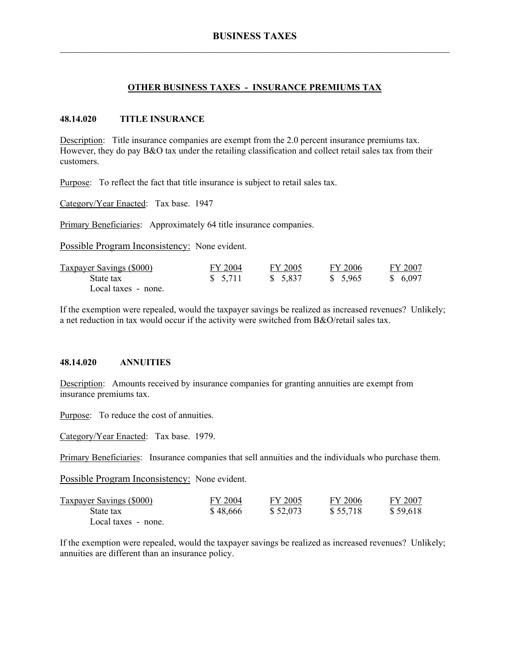# **OTHER BUSINESS TAXES - INSURANCE PREMIUMS TAX**

# **48.14.020 TITLE INSURANCE**

Description: Title insurance companies are exempt from the 2.0 percent insurance premiums tax. However, they do pay B&O tax under the retailing classification and collect retail sales tax from their customers.

Purpose: To reflect the fact that title insurance is subject to retail sales tax.

Category/Year Enacted: Tax base. 1947

Primary Beneficiaries: Approximately 64 title insurance companies.

Possible Program Inconsistency: None evident.

| <b>Taxpayer Savings (\$000)</b> | FY 2004 | FY 2005  | FY 2006 | FY 2007  |
|---------------------------------|---------|----------|---------|----------|
| State tax                       | \$5,711 | \$ 5,837 | \$5,965 | \$ 6.097 |
| Local taxes - none.             |         |          |         |          |

If the exemption were repealed, would the taxpayer savings be realized as increased revenues? Unlikely; a net reduction in tax would occur if the activity were switched from B&O/retail sales tax.

# **48.14.020 ANNUITIES**

Description: Amounts received by insurance companies for granting annuities are exempt from insurance premiums tax.

Purpose: To reduce the cost of annuities.

Category/Year Enacted: Tax base. 1979.

Primary Beneficiaries: Insurance companies that sell annuities and the individuals who purchase them.

Possible Program Inconsistency: None evident.

| Taxpayer Savings (\$000) | FY 2004  | FY 2005  | FY 2006  | FY 2007  |
|--------------------------|----------|----------|----------|----------|
| State tax                | \$48,666 | \$52,073 | \$55,718 | \$59,618 |
| Local taxes - none.      |          |          |          |          |

If the exemption were repealed, would the taxpayer savings be realized as increased revenues? Unlikely; annuities are different than an insurance policy.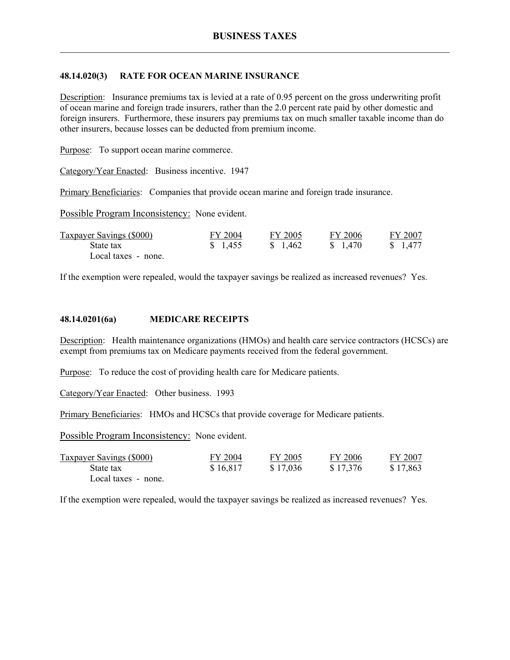# **48.14.020(3) RATE FOR OCEAN MARINE INSURANCE**

Description: Insurance premiums tax is levied at a rate of 0.95 percent on the gross underwriting profit of ocean marine and foreign trade insurers, rather than the 2.0 percent rate paid by other domestic and foreign insurers. Furthermore, these insurers pay premiums tax on much smaller taxable income than do other insurers, because losses can be deducted from premium income.

Purpose: To support ocean marine commerce.

Category/Year Enacted: Business incentive. 1947

Primary Beneficiaries: Companies that provide ocean marine and foreign trade insurance.

Possible Program Inconsistency: None evident.

| <b>Taxpayer Savings (\$000)</b> | FY 2004  | FY 2005  | FY 2006  | FY 2007  |
|---------------------------------|----------|----------|----------|----------|
| State tax                       | \$ 1,455 | \$ 1.462 | \$ 1,470 | \$ 1,477 |
| Local taxes - none.             |          |          |          |          |

If the exemption were repealed, would the taxpayer savings be realized as increased revenues? Yes.

# **48.14.0201(6a) MEDICARE RECEIPTS**

Description: Health maintenance organizations (HMOs) and health care service contractors (HCSCs) are exempt from premiums tax on Medicare payments received from the federal government.

Purpose: To reduce the cost of providing health care for Medicare patients.

Category/Year Enacted: Other business. 1993

Primary Beneficiaries: HMOs and HCSCs that provide coverage for Medicare patients.

Possible Program Inconsistency: None evident.

| <b>Taxpayer Savings (\$000)</b> | FY 2004  | FY 2005  | FY 2006  | FY 2007  |
|---------------------------------|----------|----------|----------|----------|
| State tax                       | \$16,817 | \$17,036 | \$17,376 | \$17,863 |
| Local taxes - none.             |          |          |          |          |

If the exemption were repealed, would the taxpayer savings be realized as increased revenues? Yes.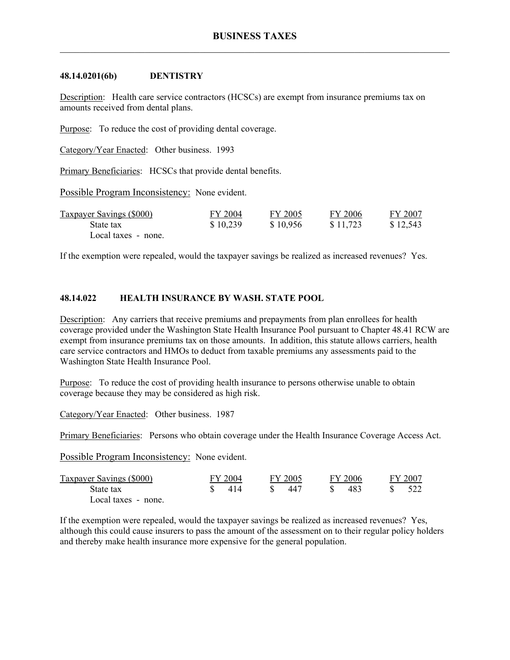#### **48.14.0201(6b) DENTISTRY**

Description: Health care service contractors (HCSCs) are exempt from insurance premiums tax on amounts received from dental plans.

Purpose: To reduce the cost of providing dental coverage.

Category/Year Enacted: Other business. 1993

Primary Beneficiaries: HCSCs that provide dental benefits.

Possible Program Inconsistency: None evident.

| <b>Taxpayer Savings (\$000)</b> | FY 2004  | FY 2005  | FY 2006  | FY 2007  |
|---------------------------------|----------|----------|----------|----------|
| State tax                       | \$10,239 | \$10,956 | \$11,723 | \$12,543 |
| Local taxes - none.             |          |          |          |          |

If the exemption were repealed, would the taxpayer savings be realized as increased revenues? Yes.

# **48.14.022 HEALTH INSURANCE BY WASH. STATE POOL**

Description: Any carriers that receive premiums and prepayments from plan enrollees for health coverage provided under the Washington State Health Insurance Pool pursuant to Chapter 48.41 RCW are exempt from insurance premiums tax on those amounts. In addition, this statute allows carriers, health care service contractors and HMOs to deduct from taxable premiums any assessments paid to the Washington State Health Insurance Pool.

Purpose: To reduce the cost of providing health insurance to persons otherwise unable to obtain coverage because they may be considered as high risk.

Category/Year Enacted: Other business. 1987

Primary Beneficiaries: Persons who obtain coverage under the Health Insurance Coverage Access Act.

Possible Program Inconsistency: None evident.

| Taxpayer Savings (\$000) | FY 2004 | FY 2005 | FY 2006   | FY 2007 |
|--------------------------|---------|---------|-----------|---------|
| State tax                | 414     | 447     | 483<br>S. |         |
| Local taxes - none.      |         |         |           |         |

If the exemption were repealed, would the taxpayer savings be realized as increased revenues? Yes, although this could cause insurers to pass the amount of the assessment on to their regular policy holders and thereby make health insurance more expensive for the general population.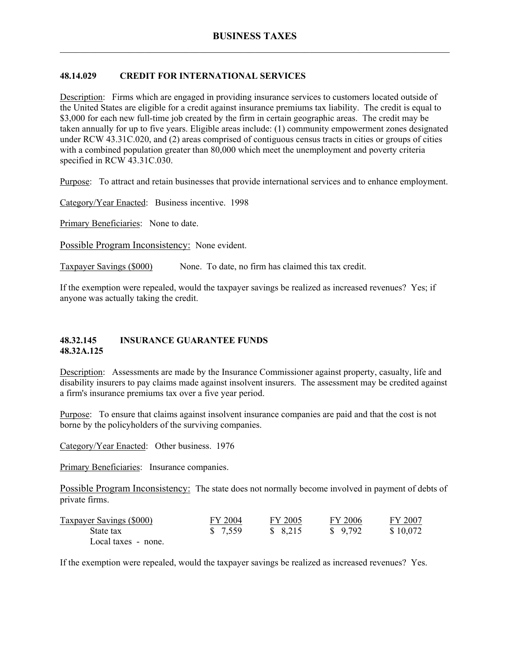# **48.14.029 CREDIT FOR INTERNATIONAL SERVICES**

Description: Firms which are engaged in providing insurance services to customers located outside of the United States are eligible for a credit against insurance premiums tax liability. The credit is equal to \$3,000 for each new full-time job created by the firm in certain geographic areas. The credit may be taken annually for up to five years. Eligible areas include: (1) community empowerment zones designated under RCW 43.31C.020, and (2) areas comprised of contiguous census tracts in cities or groups of cities with a combined population greater than 80,000 which meet the unemployment and poverty criteria specified in RCW 43.31C.030.

Purpose: To attract and retain businesses that provide international services and to enhance employment.

Category/Year Enacted: Business incentive. 1998

Primary Beneficiaries: None to date.

Possible Program Inconsistency: None evident.

Taxpayer Savings (\$000) None. To date, no firm has claimed this tax credit.

If the exemption were repealed, would the taxpayer savings be realized as increased revenues? Yes; if anyone was actually taking the credit.

#### **48.32.145 INSURANCE GUARANTEE FUNDS 48.32A.125**

Description: Assessments are made by the Insurance Commissioner against property, casualty, life and disability insurers to pay claims made against insolvent insurers. The assessment may be credited against a firm's insurance premiums tax over a five year period.

Purpose: To ensure that claims against insolvent insurance companies are paid and that the cost is not borne by the policyholders of the surviving companies.

Category/Year Enacted: Other business. 1976

Primary Beneficiaries: Insurance companies.

Possible Program Inconsistency: The state does not normally become involved in payment of debts of private firms.

| <b>Taxpayer Savings (\$000)</b> | FY 2004 | FY 2005 | FY 2006  | FY 2007  |
|---------------------------------|---------|---------|----------|----------|
| State tax                       | \$7,559 | \$8,215 | \$ 9.792 | \$10,072 |
| Local taxes - none.             |         |         |          |          |

If the exemption were repealed, would the taxpayer savings be realized as increased revenues? Yes.